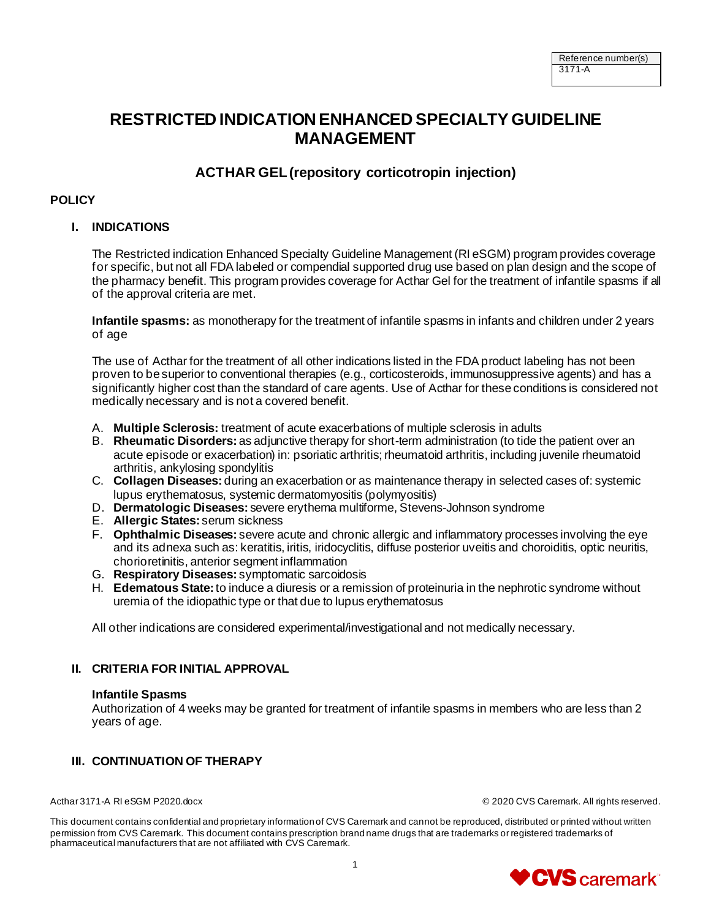# **RESTRICTED INDICATION ENHANCED SPECIALTY GUIDELINE MANAGEMENT**

## **ACTHAR GEL(repository corticotropin injection)**

### **POLICY**

### **I. INDICATIONS**

The Restricted indication Enhanced Specialty Guideline Management (RI eSGM) program provides coverage for specific, but not all FDA labeled or compendial supported drug use based on plan design and the scope of the pharmacy benefit. This program provides coverage for Acthar Gel for the treatment of infantile spasms if all of the approval criteria are met.

**Infantile spasms:** as monotherapy for the treatment of infantile spasms in infants and children under 2 years of age

The use of Acthar for the treatment of all other indications listed in the FDA product labeling has not been proven to be superior to conventional therapies (e.g., corticosteroids, immunosuppressive agents) and has a significantly higher cost than the standard of care agents. Use of Acthar for these conditions is considered not medically necessary and is not a covered benefit.

- A. **Multiple Sclerosis:** treatment of acute exacerbations of multiple sclerosis in adults
- B. **Rheumatic Disorders:** as adjunctive therapy for short-term administration (to tide the patient over an acute episode or exacerbation) in: psoriatic arthritis; rheumatoid arthritis, including juvenile rheumatoid arthritis, ankylosing spondylitis
- C. **Collagen Diseases:** during an exacerbation or as maintenance therapy in selected cases of: systemic lupus erythematosus, systemic dermatomyositis (polymyositis)
- D. **Dermatologic Diseases:** severe erythema multiforme, Stevens-Johnson syndrome
- E. **Allergic States:** serum sickness
- F. **Ophthalmic Diseases:** severe acute and chronic allergic and inflammatory processes involving the eye and its adnexa such as: keratitis, iritis, iridocyclitis, diffuse posterior uveitis and choroiditis, optic neuritis, chorioretinitis, anterior segment inflammation
- G. **Respiratory Diseases:** symptomatic sarcoidosis
- H. **Edematous State:**to induce a diuresis or a remission of proteinuria in the nephrotic syndrome without uremia of the idiopathic type or that due to lupus erythematosus

All other indications are considered experimental/investigational and not medically necessary.

#### **II. CRITERIA FOR INITIAL APPROVAL**

#### **Infantile Spasms**

Authorization of 4 weeks may be granted for treatment of infantile spasms in members who are less than 2 years of age.

## **III. CONTINUATION OF THERAPY**

Acthar 3171-A RI eSGM P2020.docx © 2020 CVS Caremark. All rights reserved.

This document contains confidential and proprietary information of CVS Caremark and cannot be reproduced, distributed or printed without written permission from CVS Caremark. This document contains prescription brand name drugs that are trademarks or registered trademarks of pharmaceutical manufacturers that are not affiliated with CVS Caremark.